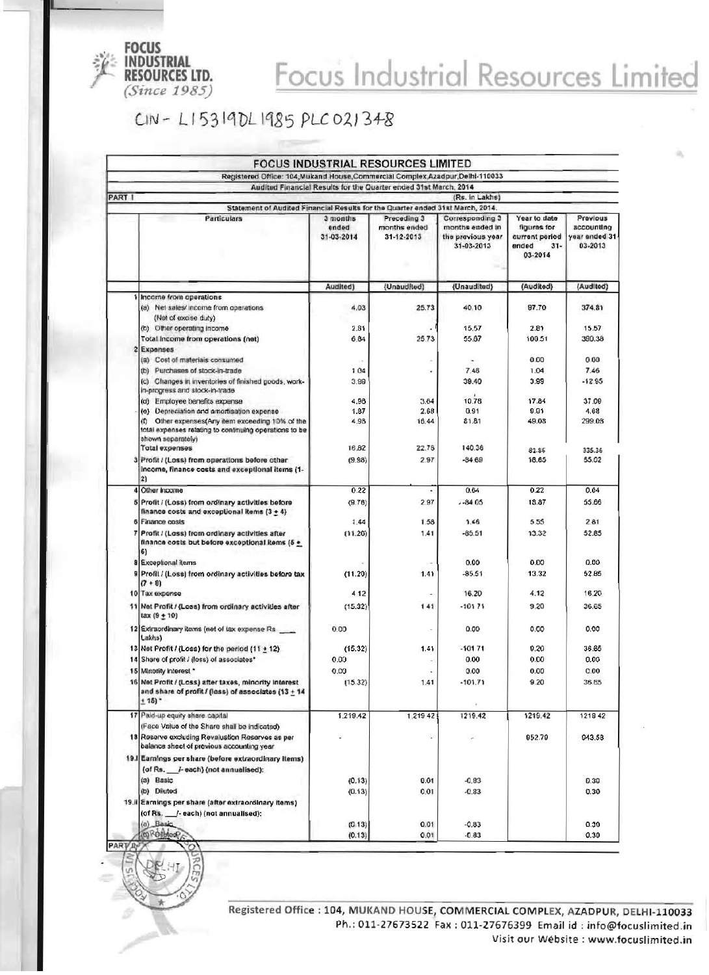

## Focus Industrial Resources Limited

CIN-LI5319DL1985 PLC021348

|                                                                                                                                                           |                                 | <b>FOCUS INDUSTRIAL RESOURCES LIMITED</b> |                                                                       |                                                                             |                                                     |
|-----------------------------------------------------------------------------------------------------------------------------------------------------------|---------------------------------|-------------------------------------------|-----------------------------------------------------------------------|-----------------------------------------------------------------------------|-----------------------------------------------------|
| Registered Office: 104, Mukand House, Commercial Complex, Azadpur, Delhi-110033<br>Audited Financial Results for the Quarter ended 31st March, 2014       |                                 |                                           |                                                                       |                                                                             |                                                     |
|                                                                                                                                                           |                                 |                                           |                                                                       |                                                                             |                                                     |
| PART                                                                                                                                                      |                                 |                                           | (Rs. in Lakhs)                                                        |                                                                             |                                                     |
| Statement of Audited Financial Results for the Quarter ended 31st March, 2014.                                                                            |                                 |                                           |                                                                       |                                                                             |                                                     |
| Particulars                                                                                                                                               | 3 months<br>ended<br>31-03-2014 | Preceding 3<br>months ended<br>31-12-2013 | Corresponding 3<br>months ended in<br>the previous year<br>31-03-2013 | Year to date<br>figures for<br>current period<br>ended<br>$31 -$<br>03-2014 | Previous<br>accounting<br>year ended 31-<br>03-2013 |
|                                                                                                                                                           | Audited)                        | (Unaudited)                               | (Unaudited)                                                           | (Audited)                                                                   | (Audited)                                           |
| Income from operations                                                                                                                                    |                                 |                                           |                                                                       |                                                                             |                                                     |
| (a) Net sales/ income from operations                                                                                                                     | 4.03                            | 25.73                                     | 40.10                                                                 | 97.70                                                                       | 374.81                                              |
| (Net of excise duty)                                                                                                                                      |                                 |                                           |                                                                       |                                                                             |                                                     |
| (b) Other operating income                                                                                                                                | 2.81                            |                                           | 15.57                                                                 | 2.81                                                                        | 15.57                                               |
| Total income from operations (net)                                                                                                                        | 6.84                            | 25.73                                     | 55.87                                                                 | 100.51                                                                      | 390.38                                              |
| <b>Expenses</b>                                                                                                                                           |                                 |                                           |                                                                       |                                                                             |                                                     |
| (a) Cost of materials consumed                                                                                                                            |                                 |                                           | ٠                                                                     | 0.00                                                                        | 0.00                                                |
| (b) Purchases of stock-in-trade                                                                                                                           | 104                             |                                           | 7.46                                                                  | 1.04                                                                        | 7.46                                                |
| (c) Changes in inventories of finished goods, work-                                                                                                       | 3.99                            |                                           | 39.40                                                                 | 3.99                                                                        | $-12.95$                                            |
| in-progress and stock-in-trade                                                                                                                            |                                 |                                           |                                                                       |                                                                             |                                                     |
| (d) Employee benefits expense                                                                                                                             | 4.96                            | 3.64                                      | 10.78                                                                 | 17.84                                                                       | 37.09                                               |
| (e) Depreciation and amortisation expense                                                                                                                 | 1.87                            | 2.68                                      | 0.91                                                                  | 9.91                                                                        | 4.68                                                |
| Other expenses(Any item exceeding 10% of the<br>$\langle \text{f} \rangle$<br>total expenses relating to continuing operations to be<br>shown separately) | 4.96                            | 16.44                                     | 81.81                                                                 | 49.08                                                                       | 299.0B                                              |
| <b>Total expenses</b>                                                                                                                                     | 16.82                           | 22.76                                     | 140.36                                                                | 81.86                                                                       | 335.36                                              |
| Profit / (Loss) from operations before other                                                                                                              | (9.98)                          | 2.97                                      | $-84.69$                                                              | 18.65                                                                       | 55.02                                               |
| Income, finance costs and exceptional items (1-<br>2)                                                                                                     |                                 |                                           |                                                                       |                                                                             |                                                     |
| Other Income                                                                                                                                              | 0.22                            |                                           | 0.64                                                                  | 0.22                                                                        | 0.64                                                |
| Profit / (Loss) from ordinary activities before                                                                                                           | (9.78)                          | 2.97                                      | $-84.05$                                                              | 18.87                                                                       | 55.66                                               |
| finance costs and exceptional items $(3 + 4)$                                                                                                             |                                 |                                           |                                                                       |                                                                             |                                                     |
| Finance costs                                                                                                                                             | 1.44                            | 1.58                                      | 1.46                                                                  | 5.55                                                                        | 2.81                                                |
| Profit / (Loss) from ordinary activities after                                                                                                            | (11.20)                         | 1.41                                      | $-85.51$                                                              | 13.32                                                                       | 52.85                                               |
| finance costs but before exceptional items (5 +<br>6)                                                                                                     |                                 |                                           |                                                                       |                                                                             |                                                     |
| Exceptional items                                                                                                                                         |                                 | ٠                                         | 0.00                                                                  | 0.00                                                                        | 0.00                                                |
| Profit / (Loss) from ordinary activities before tax<br>$(7 + 8)$                                                                                          | (11.20)                         | 1.41                                      | $-85.51$                                                              | 13.32                                                                       | 52.85                                               |
| 10 Tax expense                                                                                                                                            | 412                             | ٠                                         | 16.20                                                                 | 4.12                                                                        | 16.20                                               |
| 11 Net Profit / (Loss) from ordinary activities after<br>$tax(9 + 10)$                                                                                    | (15.32)                         | 141                                       | $-10171$                                                              | 9.20                                                                        | 36.65                                               |
| 12 Extraordinary items (net of tax expense Rs<br>Lakhs)                                                                                                   | 0.00                            |                                           | 0.00                                                                  | 0.00                                                                        | 0.00                                                |
| 13 Net Profit / (Loss) for the period (11 + 12)                                                                                                           | (15.32)                         | 1.41                                      | $-10171$                                                              | 9.20                                                                        | 36.65                                               |
| 14 Share of profit / (loss) of associates*                                                                                                                | 0.00                            |                                           | 0.00                                                                  | 0.00                                                                        | 0.00                                                |
| 15 Minority Interest *                                                                                                                                    | 0.00                            | ÷                                         | 0.00                                                                  | 0.00                                                                        | 0.00                                                |
|                                                                                                                                                           |                                 |                                           |                                                                       |                                                                             |                                                     |
| 16 Net Profit / (Loss) after taxes, minority interest<br>and share of profit / (loss) of associates (13 + 14<br>$+ 15)'$                                  | (15.32)                         | 1.41                                      | $-101.71$                                                             | 9.20                                                                        | 36.65                                               |
| 17 Paid-up equity share capital                                                                                                                           | 1,219.42                        | 1,21942                                   |                                                                       | 1219.42                                                                     |                                                     |
|                                                                                                                                                           |                                 |                                           | 1219.42                                                               |                                                                             | 1219 42                                             |
| (Face Value of the Share shall be indicated)                                                                                                              |                                 |                                           |                                                                       |                                                                             |                                                     |
| 18 Reserve excluding Revaluation Reserves as per<br>balance sheet of previous accounting year                                                             |                                 | ٠                                         | ×                                                                     | 952.79                                                                      | 943.58                                              |
| 19. Earnings per share (before extraordinary items)                                                                                                       |                                 |                                           |                                                                       |                                                                             |                                                     |
| (of Rs. __ J- each) (not annualised):                                                                                                                     |                                 |                                           |                                                                       |                                                                             |                                                     |
| (a) Basic                                                                                                                                                 | (0.13)                          | 0.01                                      | $-0.83$                                                               |                                                                             | 0.30                                                |
| (b) Diluted                                                                                                                                               | (0.13)                          | 0.01                                      | $-0.83$                                                               |                                                                             | 0.30                                                |
| 19.ii Earnings per share (after extraordinary items)                                                                                                      |                                 |                                           |                                                                       |                                                                             |                                                     |
| (of Rs. /-each) (not annualised):                                                                                                                         |                                 |                                           |                                                                       |                                                                             |                                                     |
| (a) Basic                                                                                                                                                 | (0.13)                          | 0.01                                      | $-0.83$                                                               |                                                                             | 0.30                                                |
| (b) Rollyled                                                                                                                                              | (0.13)                          | 0.01                                      | $-0.83$                                                               |                                                                             | 0.30                                                |
| <b>PART R</b>                                                                                                                                             |                                 |                                           |                                                                       |                                                                             |                                                     |

Registered Office : 104, MUKAND HOUSE, COMMERCIAL COMPLEX, AZADPUR, DELHI-110033 Ph.: 011-27673522 Fax: 011-27676399 Email id: info@focuslimited.in Visit our Wébsite : www.focuslimited.in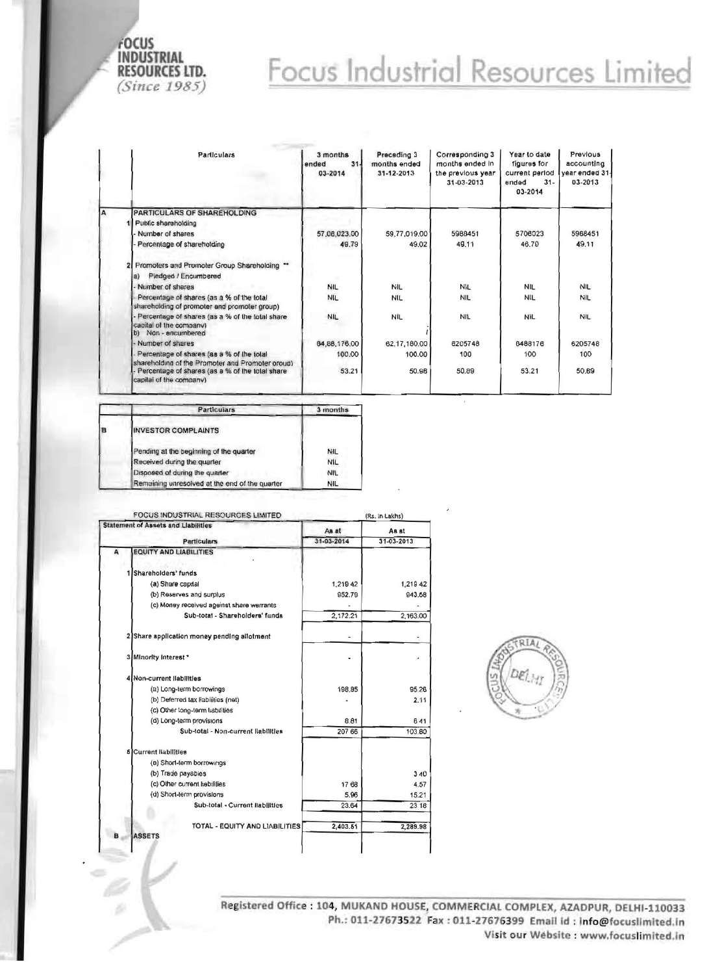

## Focus Industrial Resources Limited

|          | Particulars                                                                                     | 3 months<br>$31 -$<br>ended<br>03-2014 | Preceding 3<br>months ended<br>31-12-2013 | Corresponding 3<br>months ended in<br>the previous year<br>31-03-2013 | Year to date<br>figures for<br>current period<br>ended<br>$31 -$<br>03-2014 | Previous<br>accounting<br>vear ended 31-<br>03-2013 |
|----------|-------------------------------------------------------------------------------------------------|----------------------------------------|-------------------------------------------|-----------------------------------------------------------------------|-----------------------------------------------------------------------------|-----------------------------------------------------|
| <b>A</b> | PARTICULARS OF SHAREHOLDING                                                                     |                                        |                                           |                                                                       |                                                                             |                                                     |
|          | Public shareholding                                                                             |                                        |                                           |                                                                       |                                                                             |                                                     |
|          | Number of shares                                                                                | 57,06,023.00                           | 59,77,019.00                              | 5988451                                                               | 5706023                                                                     | 5968451                                             |
|          | Percentage of shareholding                                                                      | 49.79                                  | 49.02                                     | 49.11                                                                 | 46.70                                                                       | 49.11                                               |
|          | Promoters and Promoter Group Shareholding "<br>Pledged / Encumbered<br>$\vert a \rangle$        |                                        |                                           |                                                                       |                                                                             |                                                     |
|          | Number of shares                                                                                | <b>NIL</b>                             | NIL                                       | <b>NIL</b>                                                            | <b>NIL</b>                                                                  | <b>NIL</b>                                          |
|          | Percentage of shares (as a % of the total<br>shareholding of promoter and promoter group)       | <b>NIL</b>                             | <b>NIL</b>                                | <b>NIL</b>                                                            | <b>NIL</b>                                                                  | NIL                                                 |
|          | Percentage of shares (as a % of the total share<br>capital of the company)<br>b) Non-encumbered | <b>NIL</b>                             | NIL.                                      | <b>NIL</b>                                                            | <b>NIL</b>                                                                  | <b>NIL</b>                                          |
|          | Number of shares                                                                                | 64,88,176.00                           | 62,17,160.00                              | 6205748                                                               | 6488176                                                                     | 6205748                                             |
|          | Percentage of shares (as a % of the total<br>shareholding of the Promoter and Promoter oroup)   | 100.00                                 | 100.00                                    | 100                                                                   | 100<br>53.21                                                                | 100<br>50.B9                                        |
|          | Percentage of shares (as a % of the total share<br>capital of the company)                      | 53.21                                  | 50.98                                     | 50.89                                                                 |                                                                             |                                                     |

|   | <b>Particulars</b>                             | 3 months   |
|---|------------------------------------------------|------------|
| B | <b>INVESTOR COMPLAINTS</b>                     |            |
|   | Pending at the beginning of the quarter        | NIL        |
|   | Received during the quarter                    | <b>NIL</b> |
|   | Disposed of during the quarter                 | NIL        |
|   | Remaining unresolved at the end of the quarter | NIL        |

| <b>FOCUS INDUSTRIAL RESOURCES LIMITED</b>  |                                                 | (Rs. In Lakhs) |                  |  |
|--------------------------------------------|-------------------------------------------------|----------------|------------------|--|
| <b>Statement of Assets and Llabilities</b> |                                                 | Js aA          | As st            |  |
|                                            | <b>Particulars</b>                              | 31-03-2014     | $31 - 03 - 2013$ |  |
| A                                          | <b>EQUITY AND LIABILITIES</b>                   |                |                  |  |
|                                            | Shareholders' funds                             |                |                  |  |
|                                            | (a) Share capital                               | 1,219 42       | 1,219 42         |  |
|                                            | (b) Reserves and surplus                        | 952.79         | 943.58           |  |
|                                            | (c) Money received ageinst share werrants       |                |                  |  |
|                                            | Sub-total - Shareholders' funds                 | 2,172.21       | 2,163.00         |  |
|                                            | 2 Share application money pending allotment     |                |                  |  |
|                                            | 3 Minority Interest *                           |                |                  |  |
|                                            | 4 Non-current liabilities                       |                |                  |  |
|                                            | (a) Long-term borrowings                        | 198.85         | 95.26            |  |
|                                            | (b) Deferred tax liabilities (net)              |                | 2.11             |  |
|                                            | (c) Other long-term liabilities                 |                |                  |  |
|                                            | (d) Long-term provisions                        | 8.81           | 641              |  |
|                                            | Sub-total - Non-current liabilities             | 207 66         | 103.80           |  |
|                                            | <b>S</b> Current Habilities                     |                |                  |  |
|                                            | (a) Short-term borrowings                       |                |                  |  |
|                                            | (b) Trade payables                              |                | 340              |  |
|                                            | (c) Other current habilities                    | 1768           | 4.57             |  |
|                                            | (d) Short-term provisions                       | 5.96           | 15.21            |  |
|                                            | Sub-total - Current liabilities                 | 23.64          | 23 18            |  |
| в                                          | TOTAL - EQUITY AND LIABILITIES<br><b>ASSETS</b> | 2,403.51       | 2,289.98         |  |
|                                            |                                                 |                |                  |  |



Registered Office: 104, MUKAND HOUSE, COMMERCIAL COMPLEX, AZADPUR, DELHI-110033 Ph.: 011-27673522 Fax: 011-27676399 Email id: Info@focuslimited.in Visit our Website : www.focuslimited.in